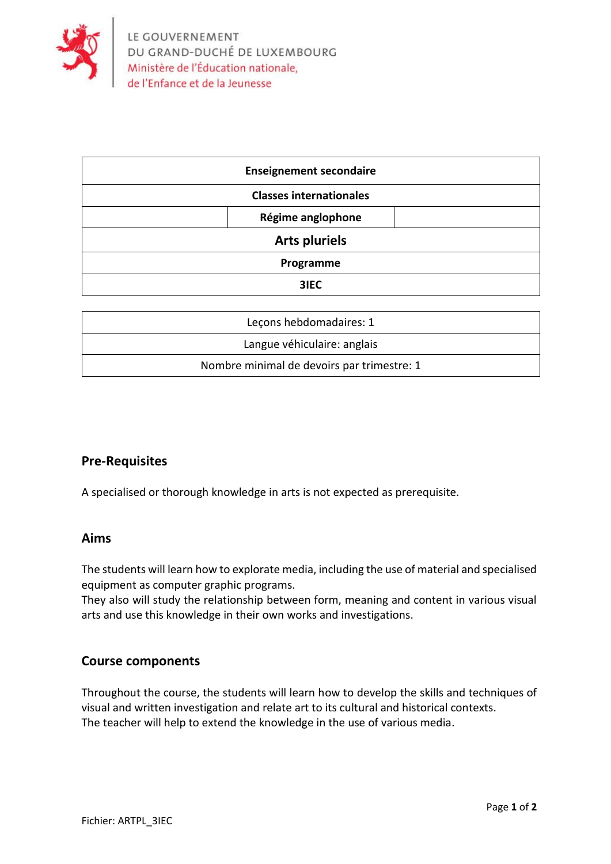

| <b>Enseignement secondaire</b> |
|--------------------------------|
| <b>Classes internationales</b> |
| Régime anglophone              |
| <b>Arts pluriels</b>           |
| Programme                      |
| 3IEC                           |

| Lecons hebdomadaires: 1                    |
|--------------------------------------------|
| Langue véhiculaire: anglais                |
| Nombre minimal de devoirs par trimestre: 1 |
|                                            |

## **Pre-Requisites**

A specialised or thorough knowledge in arts is not expected as prerequisite.

### **Aims**

The students will learn how to explorate media, including the use of material and specialised equipment as computer graphic programs.

They also will study the relationship between form, meaning and content in various visual arts and use this knowledge in their own works and investigations.

### **Course components**

Throughout the course, the students will learn how to develop the skills and techniques of visual and written investigation and relate art to its cultural and historical contexts. The teacher will help to extend the knowledge in the use of various media.